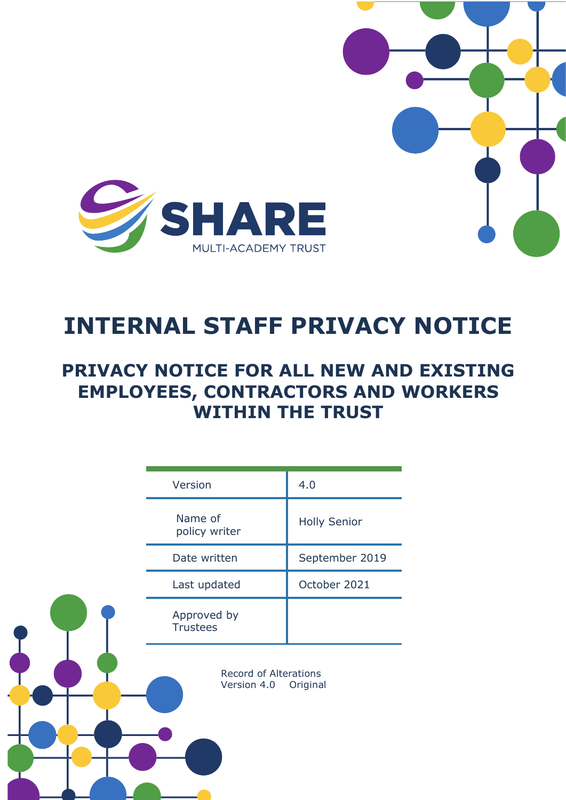

# **INTERNAL STAFF PRIVACY NOTICE**

## **PRIVACY NOTICE FOR ALL NEW AND EXISTING EMPLOYEES, CONTRACTORS AND WORKERS WITHIN THE TRUST**

|  | Version                                          | 4.0                 |
|--|--------------------------------------------------|---------------------|
|  | Name of<br>policy writer                         | <b>Holly Senior</b> |
|  | Date written                                     | September 2019      |
|  | Last updated                                     | October 2021        |
|  | Approved by<br><b>Trustees</b>                   |                     |
|  | Record of Alterations<br>Version 4.0<br>Original |                     |
|  |                                                  |                     |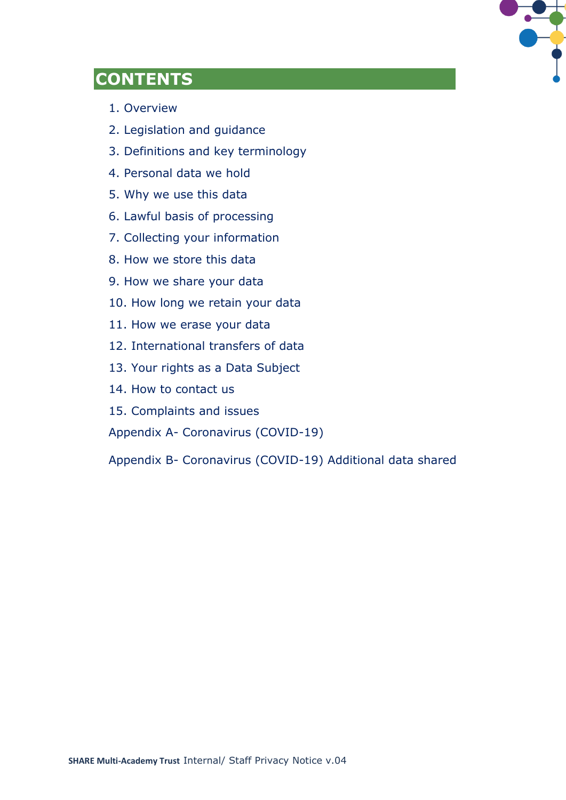

### **CONTENTS**

- 1. Overview
- 2. Legislation and guidance
- 3. Definitions and key terminology
- 4. Personal data we hold
- 5. Why we use this data
- 6. Lawful basis of processing
- 7. Collecting your information
- 8. How we store this data
- 9. How we share your data
- 10. How long we retain your data
- 11. How we erase your data
- 12. International transfers of data
- 13. Your rights as a Data Subject
- 14. How to contact us
- 15. Complaints and issues
- Appendix A- Coronavirus (COVID-19)

Appendix B- Coronavirus (COVID-19) Additional data shared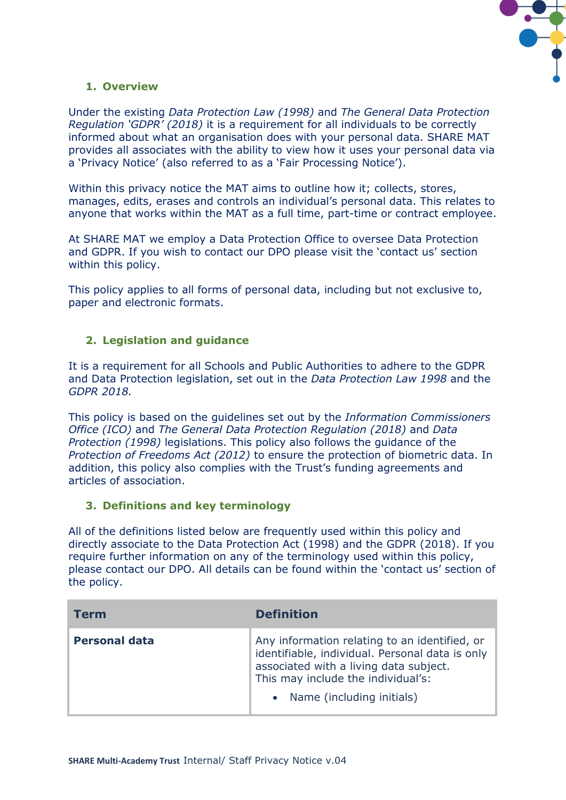

#### **1. Overview**

Under the existing *Data Protection Law (1998)* and *The General Data Protection Regulation 'GDPR' (2018)* it is a requirement for all individuals to be correctly informed about what an organisation does with your personal data. SHARE MAT provides all associates with the ability to view how it uses your personal data via a 'Privacy Notice' (also referred to as a 'Fair Processing Notice').

Within this privacy notice the MAT aims to outline how it; collects, stores, manages, edits, erases and controls an individual's personal data. This relates to anyone that works within the MAT as a full time, part-time or contract employee.

At SHARE MAT we employ a Data Protection Office to oversee Data Protection and GDPR. If you wish to contact our DPO please visit the 'contact us' section within this policy.

This policy applies to all forms of personal data, including but not exclusive to, paper and electronic formats.

#### **2. Legislation and guidance**

It is a requirement for all Schools and Public Authorities to adhere to the GDPR and Data Protection legislation, set out in the *Data Protection Law 1998* and the *GDPR 2018.*

This policy is based on the guidelines set out by the *Information Commissioners Office (ICO)* and *The General Data Protection Regulation (2018)* and *Data Protection (1998)* legislations. This policy also follows the guidance of the *Protection of Freedoms Act (2012)* to ensure the protection of biometric data. In addition, this policy also complies with the Trust's funding agreements and articles of association.

#### **3. Definitions and key terminology**

All of the definitions listed below are frequently used within this policy and directly associate to the Data Protection Act (1998) and the GDPR (2018). If you require further information on any of the terminology used within this policy, please contact our DPO. All details can be found within the 'contact us' section of the policy.

| Term                 | <b>Definition</b>                                                                                                                                                                                             |
|----------------------|---------------------------------------------------------------------------------------------------------------------------------------------------------------------------------------------------------------|
| <b>Personal data</b> | Any information relating to an identified, or<br>identifiable, individual. Personal data is only<br>associated with a living data subject.<br>This may include the individual's:<br>Name (including initials) |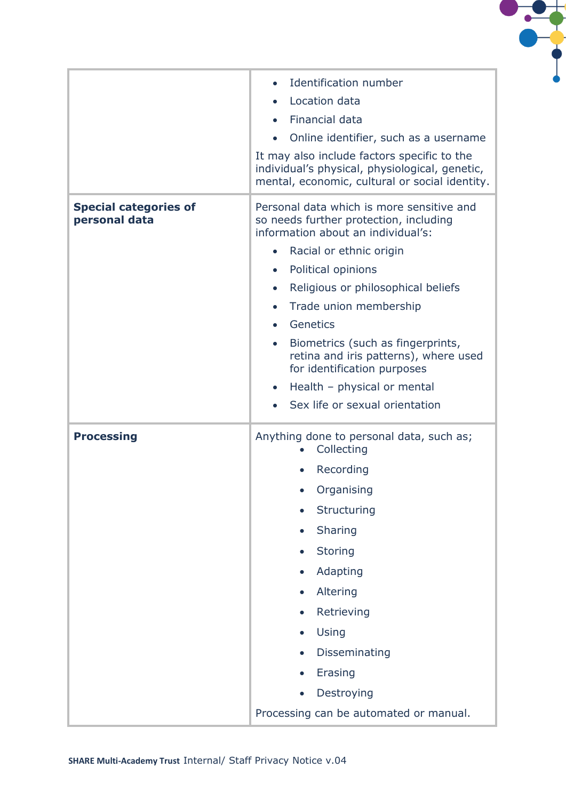

|                                               | Identification number                                                                                                                           |  |
|-----------------------------------------------|-------------------------------------------------------------------------------------------------------------------------------------------------|--|
|                                               | Location data                                                                                                                                   |  |
|                                               | Financial data<br>$\bullet$                                                                                                                     |  |
|                                               | Online identifier, such as a username<br>$\bullet$                                                                                              |  |
|                                               | It may also include factors specific to the<br>individual's physical, physiological, genetic,<br>mental, economic, cultural or social identity. |  |
| <b>Special categories of</b><br>personal data | Personal data which is more sensitive and<br>so needs further protection, including<br>information about an individual's:                       |  |
|                                               | Racial or ethnic origin<br>$\bullet$                                                                                                            |  |
|                                               | Political opinions<br>$\bullet$                                                                                                                 |  |
|                                               | Religious or philosophical beliefs<br>$\bullet$                                                                                                 |  |
|                                               | Trade union membership<br>$\bullet$                                                                                                             |  |
|                                               | Genetics<br>$\bullet$                                                                                                                           |  |
|                                               | Biometrics (such as fingerprints,<br>$\bullet$<br>retina and iris patterns), where used<br>for identification purposes                          |  |
|                                               | Health - physical or mental<br>$\bullet$                                                                                                        |  |
|                                               | Sex life or sexual orientation                                                                                                                  |  |
| <b>Processing</b>                             | Anything done to personal data, such as;<br>Collecting                                                                                          |  |
|                                               | Recording                                                                                                                                       |  |
|                                               | Organising                                                                                                                                      |  |
|                                               | Structuring                                                                                                                                     |  |
|                                               | Sharing                                                                                                                                         |  |
|                                               | <b>Storing</b>                                                                                                                                  |  |
|                                               | Adapting                                                                                                                                        |  |
|                                               | Altering                                                                                                                                        |  |
|                                               | Retrieving                                                                                                                                      |  |
|                                               | Using                                                                                                                                           |  |
|                                               | Disseminating                                                                                                                                   |  |
|                                               | Erasing                                                                                                                                         |  |
|                                               | Destroying                                                                                                                                      |  |
|                                               |                                                                                                                                                 |  |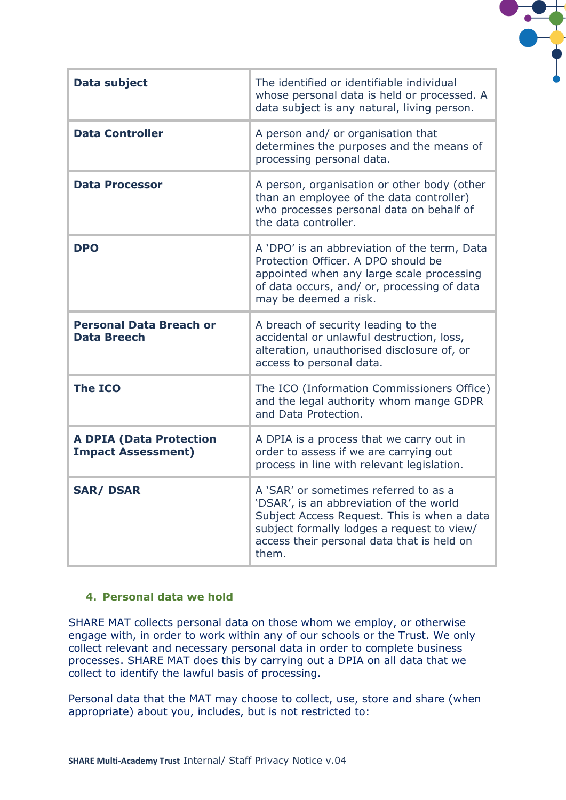| <b>Data subject</b>                                         | The identified or identifiable individual<br>whose personal data is held or processed. A<br>data subject is any natural, living person.                                                                                              |
|-------------------------------------------------------------|--------------------------------------------------------------------------------------------------------------------------------------------------------------------------------------------------------------------------------------|
| <b>Data Controller</b>                                      | A person and/ or organisation that<br>determines the purposes and the means of<br>processing personal data.                                                                                                                          |
| <b>Data Processor</b>                                       | A person, organisation or other body (other<br>than an employee of the data controller)<br>who processes personal data on behalf of<br>the data controller.                                                                          |
| <b>DPO</b>                                                  | A 'DPO' is an abbreviation of the term, Data<br>Protection Officer. A DPO should be<br>appointed when any large scale processing<br>of data occurs, and/ or, processing of data<br>may be deemed a risk.                             |
| <b>Personal Data Breach or</b><br><b>Data Breech</b>        | A breach of security leading to the<br>accidental or unlawful destruction, loss,<br>alteration, unauthorised disclosure of, or<br>access to personal data.                                                                           |
| <b>The ICO</b>                                              | The ICO (Information Commissioners Office)<br>and the legal authority whom mange GDPR<br>and Data Protection.                                                                                                                        |
| <b>A DPIA (Data Protection</b><br><b>Impact Assessment)</b> | A DPIA is a process that we carry out in<br>order to assess if we are carrying out<br>process in line with relevant legislation.                                                                                                     |
| <b>SAR/DSAR</b>                                             | A 'SAR' or sometimes referred to as a<br>'DSAR', is an abbreviation of the world<br>Subject Access Request. This is when a data<br>subject formally lodges a request to view/<br>access their personal data that is held on<br>them. |

#### **4. Personal data we hold**

SHARE MAT collects personal data on those whom we employ, or otherwise engage with, in order to work within any of our schools or the Trust. We only collect relevant and necessary personal data in order to complete business processes. SHARE MAT does this by carrying out a DPIA on all data that we collect to identify the lawful basis of processing.

Personal data that the MAT may choose to collect, use, store and share (when appropriate) about you, includes, but is not restricted to: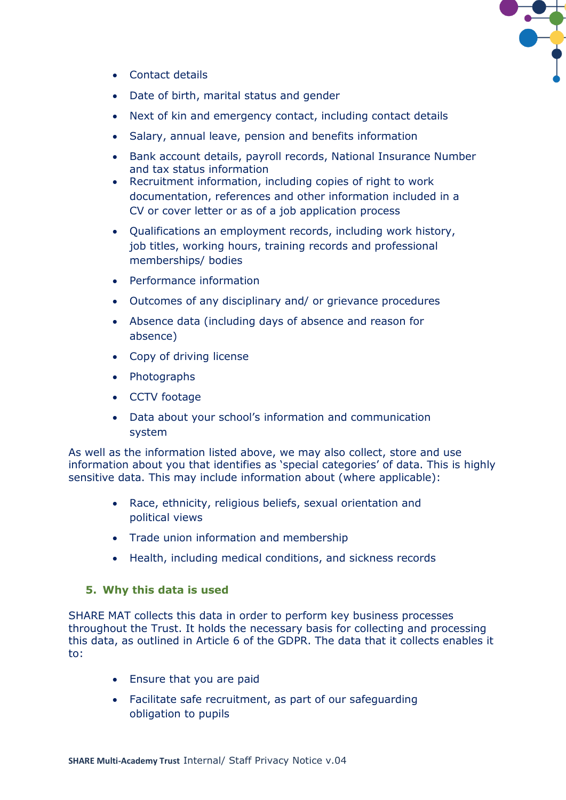

- Contact details
- Date of birth, marital status and gender
- Next of kin and emergency contact, including contact details
- Salary, annual leave, pension and benefits information
- Bank account details, payroll records, National Insurance Number and tax status information
- Recruitment information, including copies of right to work documentation, references and other information included in a CV or cover letter or as of a job application process
- Qualifications an employment records, including work history, job titles, working hours, training records and professional memberships/ bodies
- Performance information
- Outcomes of any disciplinary and/ or grievance procedures
- Absence data (including days of absence and reason for absence)
- Copy of driving license
- Photographs
- CCTV footage
- Data about your school's information and communication system

As well as the information listed above, we may also collect, store and use information about you that identifies as 'special categories' of data. This is highly sensitive data. This may include information about (where applicable):

- Race, ethnicity, religious beliefs, sexual orientation and political views
- Trade union information and membership
- Health, including medical conditions, and sickness records

#### **5. Why this data is used**

SHARE MAT collects this data in order to perform key business processes throughout the Trust. It holds the necessary basis for collecting and processing this data, as outlined in Article 6 of the GDPR. The data that it collects enables it to:

- Ensure that you are paid
- Facilitate safe recruitment, as part of our safeguarding obligation to pupils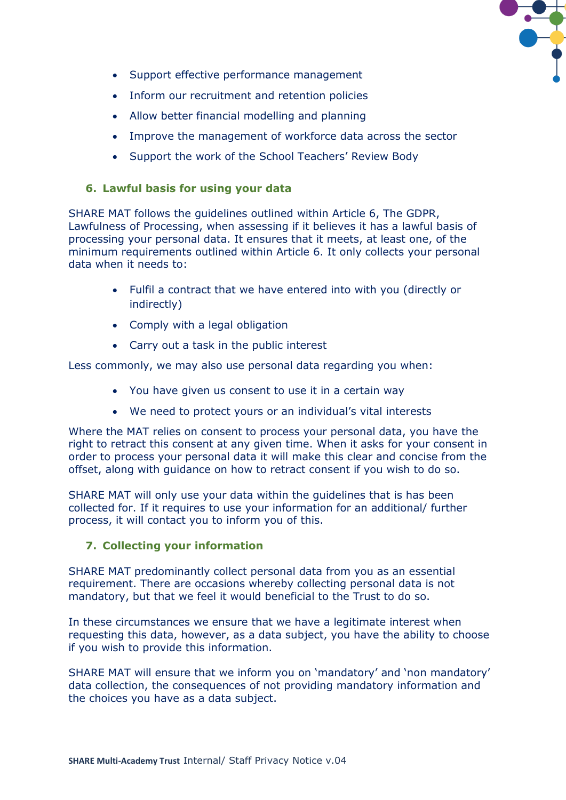

- Support effective performance management
- Inform our recruitment and retention policies
- Allow better financial modelling and planning
- Improve the management of workforce data across the sector
- Support the work of the School Teachers' Review Body

#### **6. Lawful basis for using your data**

SHARE MAT follows the guidelines outlined within Article 6, The GDPR, Lawfulness of Processing, when assessing if it believes it has a lawful basis of processing your personal data. It ensures that it meets, at least one, of the minimum requirements outlined within Article 6. It only collects your personal data when it needs to:

- Fulfil a contract that we have entered into with you (directly or indirectly)
- Comply with a legal obligation
- Carry out a task in the public interest

Less commonly, we may also use personal data regarding you when:

- You have given us consent to use it in a certain way
- We need to protect yours or an individual's vital interests

Where the MAT relies on consent to process your personal data, you have the right to retract this consent at any given time. When it asks for your consent in order to process your personal data it will make this clear and concise from the offset, along with guidance on how to retract consent if you wish to do so.

SHARE MAT will only use your data within the guidelines that is has been collected for. If it requires to use your information for an additional/ further process, it will contact you to inform you of this.

#### **7. Collecting your information**

SHARE MAT predominantly collect personal data from you as an essential requirement. There are occasions whereby collecting personal data is not mandatory, but that we feel it would beneficial to the Trust to do so.

In these circumstances we ensure that we have a legitimate interest when requesting this data, however, as a data subject, you have the ability to choose if you wish to provide this information.

SHARE MAT will ensure that we inform you on 'mandatory' and 'non mandatory' data collection, the consequences of not providing mandatory information and the choices you have as a data subject.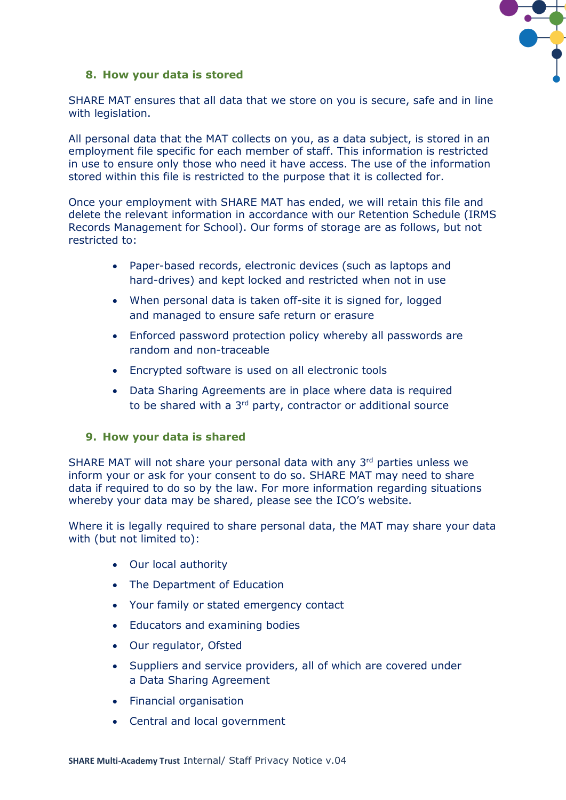

#### **8. How your data is stored**

SHARE MAT ensures that all data that we store on you is secure, safe and in line with legislation.

All personal data that the MAT collects on you, as a data subject, is stored in an employment file specific for each member of staff. This information is restricted in use to ensure only those who need it have access. The use of the information stored within this file is restricted to the purpose that it is collected for.

Once your employment with SHARE MAT has ended, we will retain this file and delete the relevant information in accordance with our Retention Schedule (IRMS Records Management for School). Our forms of storage are as follows, but not restricted to:

- Paper-based records, electronic devices (such as laptops and hard-drives) and kept locked and restricted when not in use
- When personal data is taken off-site it is signed for, logged and managed to ensure safe return or erasure
- Enforced password protection policy whereby all passwords are random and non-traceable
- Encrypted software is used on all electronic tools
- Data Sharing Agreements are in place where data is required to be shared with a 3<sup>rd</sup> party, contractor or additional source

#### **9. How your data is shared**

SHARE MAT will not share your personal data with any 3rd parties unless we inform your or ask for your consent to do so. SHARE MAT may need to share data if required to do so by the law. For more information regarding situations whereby your data may be shared, please see the ICO's website.

Where it is legally required to share personal data, the MAT may share your data with (but not limited to):

- Our local authority
- The Department of Education
- Your family or stated emergency contact
- Educators and examining bodies
- Our regulator, Ofsted
- Suppliers and service providers, all of which are covered under a Data Sharing Agreement
- Financial organisation
- Central and local government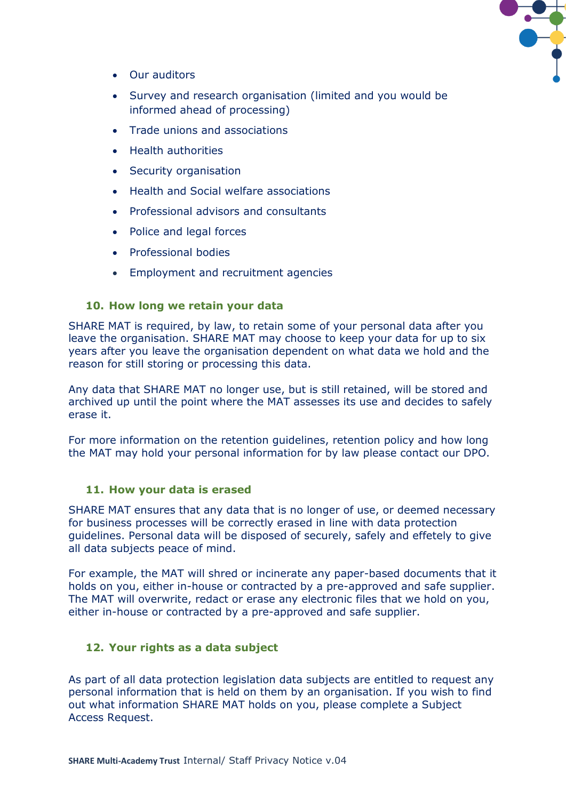

- Our auditors
- Survey and research organisation (limited and you would be informed ahead of processing)
- Trade unions and associations
- Health authorities
- Security organisation
- Health and Social welfare associations
- Professional advisors and consultants
- Police and legal forces
- Professional bodies
- Employment and recruitment agencies

#### **10. How long we retain your data**

SHARE MAT is required, by law, to retain some of your personal data after you leave the organisation. SHARE MAT may choose to keep your data for up to six years after you leave the organisation dependent on what data we hold and the reason for still storing or processing this data.

Any data that SHARE MAT no longer use, but is still retained, will be stored and archived up until the point where the MAT assesses its use and decides to safely erase it.

For more information on the retention guidelines, retention policy and how long the MAT may hold your personal information for by law please contact our DPO.

#### **11. How your data is erased**

SHARE MAT ensures that any data that is no longer of use, or deemed necessary for business processes will be correctly erased in line with data protection guidelines. Personal data will be disposed of securely, safely and effetely to give all data subjects peace of mind.

For example, the MAT will shred or incinerate any paper-based documents that it holds on you, either in-house or contracted by a pre-approved and safe supplier. The MAT will overwrite, redact or erase any electronic files that we hold on you, either in-house or contracted by a pre-approved and safe supplier.

#### **12. Your rights as a data subject**

As part of all data protection legislation data subjects are entitled to request any personal information that is held on them by an organisation. If you wish to find out what information SHARE MAT holds on you, please complete a Subject Access Request.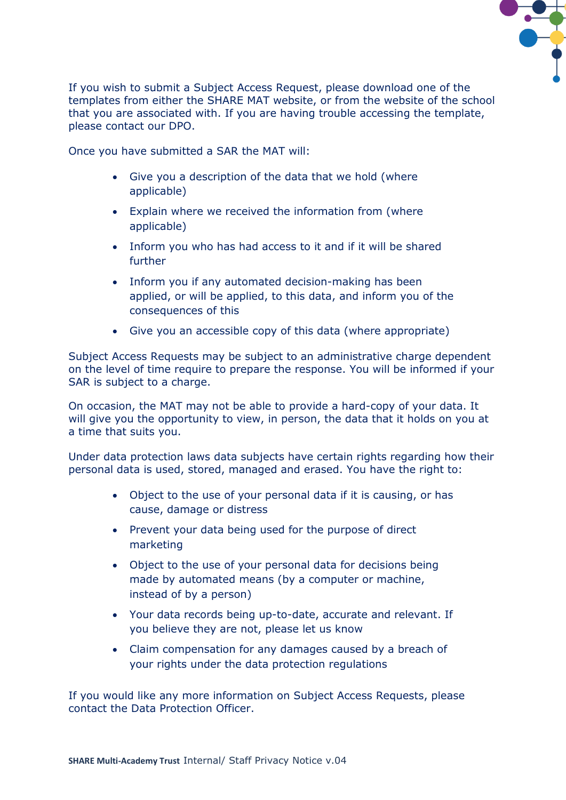

If you wish to submit a Subject Access Request, please download one of the templates from either the SHARE MAT website, or from the website of the school that you are associated with. If you are having trouble accessing the template, please contact our DPO.

Once you have submitted a SAR the MAT will:

- Give you a description of the data that we hold (where applicable)
- Explain where we received the information from (where applicable)
- Inform you who has had access to it and if it will be shared further
- Inform you if any automated decision-making has been applied, or will be applied, to this data, and inform you of the consequences of this
- Give you an accessible copy of this data (where appropriate)

Subject Access Requests may be subject to an administrative charge dependent on the level of time require to prepare the response. You will be informed if your SAR is subject to a charge.

On occasion, the MAT may not be able to provide a hard-copy of your data. It will give you the opportunity to view, in person, the data that it holds on you at a time that suits you.

Under data protection laws data subjects have certain rights regarding how their personal data is used, stored, managed and erased. You have the right to:

- Object to the use of your personal data if it is causing, or has cause, damage or distress
- Prevent your data being used for the purpose of direct marketing
- Object to the use of your personal data for decisions being made by automated means (by a computer or machine, instead of by a person)
- Your data records being up-to-date, accurate and relevant. If you believe they are not, please let us know
- Claim compensation for any damages caused by a breach of your rights under the data protection regulations

If you would like any more information on Subject Access Requests, please contact the Data Protection Officer.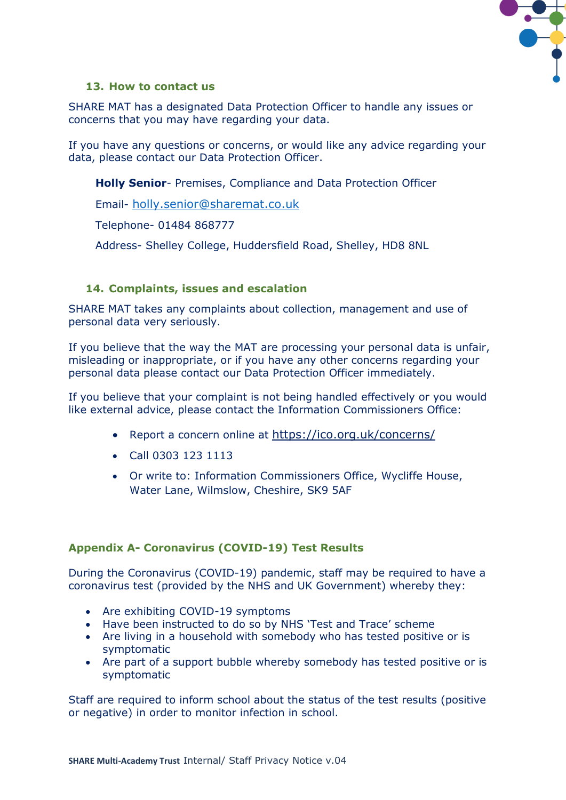

#### **13. How to contact us**

SHARE MAT has a designated Data Protection Officer to handle any issues or concerns that you may have regarding your data.

If you have any questions or concerns, or would like any advice regarding your data, please contact our Data Protection Officer.

**Holly Senior**- Premises, Compliance and Data Protection Officer

Email- [holly.senior@sharemat.co.uk](mailto:holly.senior@sharemat.co.uk)

Telephone- 01484 868777

Address- Shelley College, Huddersfield Road, Shelley, HD8 8NL

#### **14. Complaints, issues and escalation**

SHARE MAT takes any complaints about collection, management and use of personal data very seriously.

If you believe that the way the MAT are processing your personal data is unfair, misleading or inappropriate, or if you have any other concerns regarding your personal data please contact our Data Protection Officer immediately.

If you believe that your complaint is not being handled effectively or you would like external advice, please contact the Information Commissioners Office:

- Report a concern online at <https://ico.org.uk/concerns/>
- Call 0303 123 1113
- Or write to: Information Commissioners Office, Wycliffe House, Water Lane, Wilmslow, Cheshire, SK9 5AF

#### **Appendix A- Coronavirus (COVID-19) Test Results**

During the Coronavirus (COVID-19) pandemic, staff may be required to have a coronavirus test (provided by the NHS and UK Government) whereby they:

- Are exhibiting COVID-19 symptoms
- Have been instructed to do so by NHS 'Test and Trace' scheme
- Are living in a household with somebody who has tested positive or is symptomatic
- Are part of a support bubble whereby somebody has tested positive or is symptomatic

Staff are required to inform school about the status of the test results (positive or negative) in order to monitor infection in school.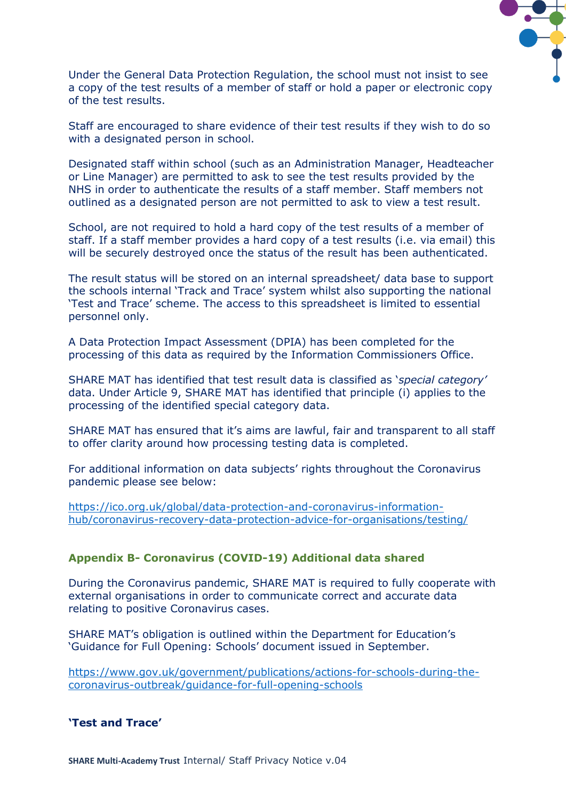

Under the General Data Protection Regulation, the school must not insist to see a copy of the test results of a member of staff or hold a paper or electronic copy of the test results.

Staff are encouraged to share evidence of their test results if they wish to do so with a designated person in school.

Designated staff within school (such as an Administration Manager, Headteacher or Line Manager) are permitted to ask to see the test results provided by the NHS in order to authenticate the results of a staff member. Staff members not outlined as a designated person are not permitted to ask to view a test result.

School, are not required to hold a hard copy of the test results of a member of staff. If a staff member provides a hard copy of a test results (i.e. via email) this will be securely destroyed once the status of the result has been authenticated.

The result status will be stored on an internal spreadsheet/ data base to support the schools internal 'Track and Trace' system whilst also supporting the national 'Test and Trace' scheme. The access to this spreadsheet is limited to essential personnel only.

A Data Protection Impact Assessment (DPIA) has been completed for the processing of this data as required by the Information Commissioners Office.

SHARE MAT has identified that test result data is classified as '*special category'* data. Under Article 9, SHARE MAT has identified that principle (i) applies to the processing of the identified special category data.

SHARE MAT has ensured that it's aims are lawful, fair and transparent to all staff to offer clarity around how processing testing data is completed.

For additional information on data subjects' rights throughout the Coronavirus pandemic please see below:

[https://ico.org.uk/global/data-protection-and-coronavirus-information](https://ico.org.uk/global/data-protection-and-coronavirus-information-hub/coronavirus-recovery-data-protection-advice-for-organisations/testing/)[hub/coronavirus-recovery-data-protection-advice-for-organisations/testing/](https://ico.org.uk/global/data-protection-and-coronavirus-information-hub/coronavirus-recovery-data-protection-advice-for-organisations/testing/)

#### **Appendix B- Coronavirus (COVID-19) Additional data shared**

During the Coronavirus pandemic, SHARE MAT is required to fully cooperate with external organisations in order to communicate correct and accurate data relating to positive Coronavirus cases.

SHARE MAT's obligation is outlined within the Department for Education's 'Guidance for Full Opening: Schools' document issued in September.

[https://www.gov.uk/government/publications/actions-for-schools-during-the](https://www.gov.uk/government/publications/actions-for-schools-during-the-coronavirus-outbreak/guidance-for-full-opening-schools)[coronavirus-outbreak/guidance-for-full-opening-schools](https://www.gov.uk/government/publications/actions-for-schools-during-the-coronavirus-outbreak/guidance-for-full-opening-schools)

#### **'Test and Trace'**

**SHARE Multi-Academy Trust** Internal/ Staff Privacy Notice v.04